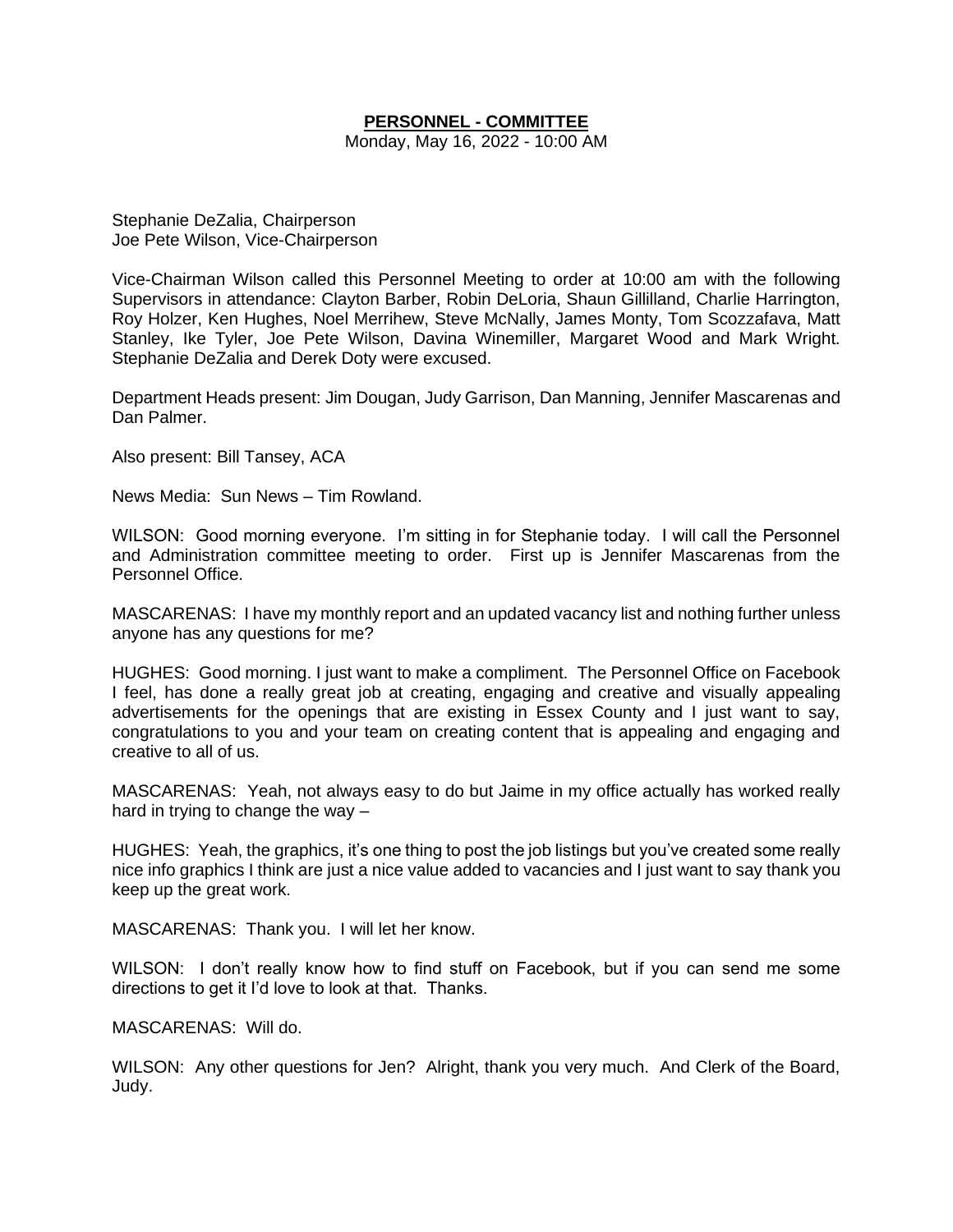## **PERSONNEL - COMMITTEE**

Monday, May 16, 2022 - 10:00 AM

Stephanie DeZalia, Chairperson Joe Pete Wilson, Vice-Chairperson

Vice-Chairman Wilson called this Personnel Meeting to order at 10:00 am with the following Supervisors in attendance: Clayton Barber, Robin DeLoria, Shaun Gillilland, Charlie Harrington, Roy Holzer, Ken Hughes, Noel Merrihew, Steve McNally, James Monty, Tom Scozzafava, Matt Stanley, Ike Tyler, Joe Pete Wilson, Davina Winemiller, Margaret Wood and Mark Wright. Stephanie DeZalia and Derek Doty were excused.

Department Heads present: Jim Dougan, Judy Garrison, Dan Manning, Jennifer Mascarenas and Dan Palmer.

Also present: Bill Tansey, ACA

News Media: Sun News – Tim Rowland.

WILSON: Good morning everyone. I'm sitting in for Stephanie today. I will call the Personnel and Administration committee meeting to order. First up is Jennifer Mascarenas from the Personnel Office.

MASCARENAS: I have my monthly report and an updated vacancy list and nothing further unless anyone has any questions for me?

HUGHES: Good morning. I just want to make a compliment. The Personnel Office on Facebook I feel, has done a really great job at creating, engaging and creative and visually appealing advertisements for the openings that are existing in Essex County and I just want to say, congratulations to you and your team on creating content that is appealing and engaging and creative to all of us.

MASCARENAS: Yeah, not always easy to do but Jaime in my office actually has worked really hard in trying to change the way –

HUGHES: Yeah, the graphics, it's one thing to post the job listings but you've created some really nice info graphics I think are just a nice value added to vacancies and I just want to say thank you keep up the great work.

MASCARENAS: Thank you. I will let her know.

WILSON: I don't really know how to find stuff on Facebook, but if you can send me some directions to get it I'd love to look at that. Thanks.

MASCARENAS: Will do.

WILSON: Any other questions for Jen? Alright, thank you very much. And Clerk of the Board, Judy.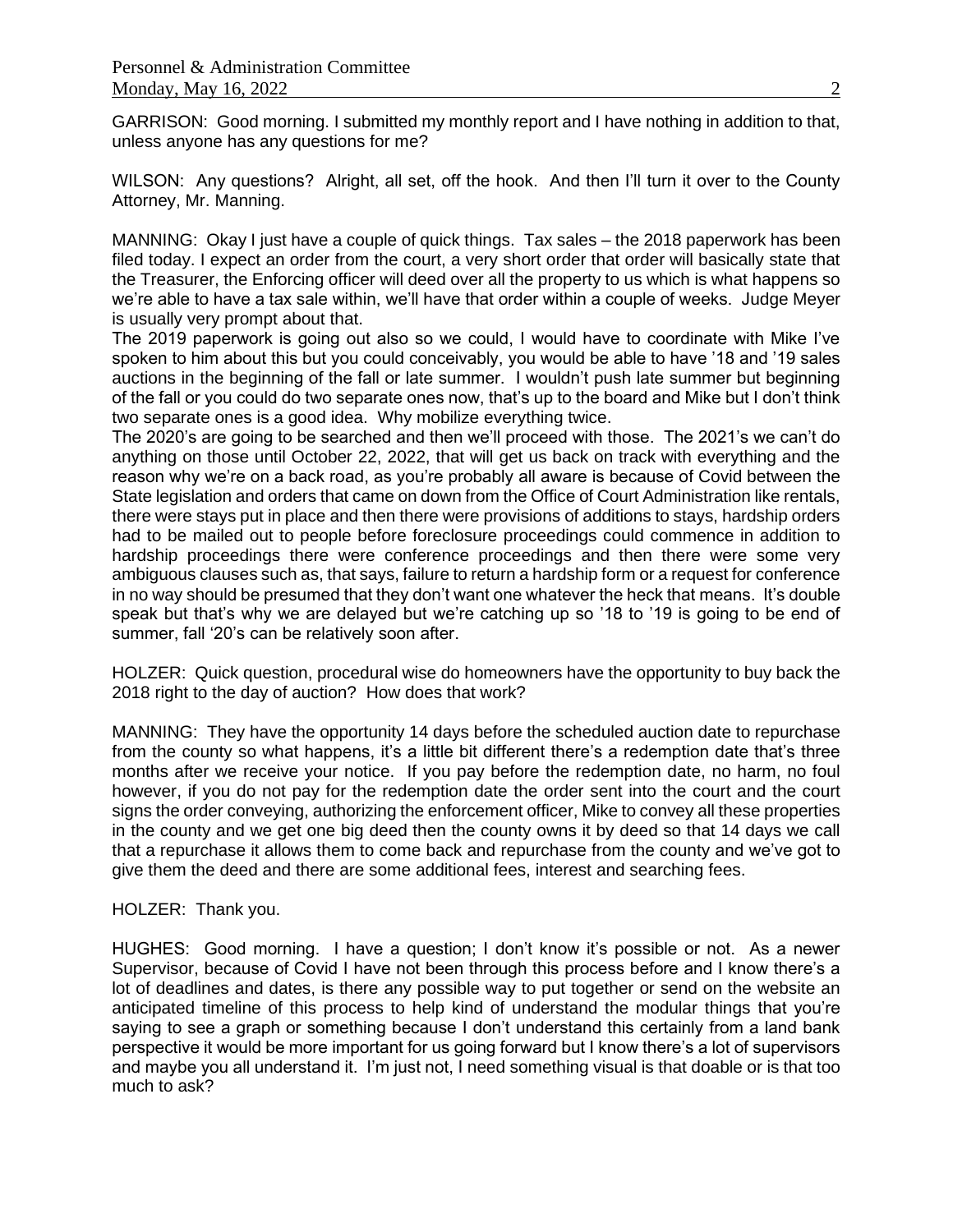GARRISON: Good morning. I submitted my monthly report and I have nothing in addition to that, unless anyone has any questions for me?

WILSON: Any questions? Alright, all set, off the hook. And then I'll turn it over to the County Attorney, Mr. Manning.

MANNING: Okay I just have a couple of quick things. Tax sales – the 2018 paperwork has been filed today. I expect an order from the court, a very short order that order will basically state that the Treasurer, the Enforcing officer will deed over all the property to us which is what happens so we're able to have a tax sale within, we'll have that order within a couple of weeks. Judge Meyer is usually very prompt about that.

The 2019 paperwork is going out also so we could, I would have to coordinate with Mike I've spoken to him about this but you could conceivably, you would be able to have '18 and '19 sales auctions in the beginning of the fall or late summer. I wouldn't push late summer but beginning of the fall or you could do two separate ones now, that's up to the board and Mike but I don't think two separate ones is a good idea. Why mobilize everything twice.

The 2020's are going to be searched and then we'll proceed with those. The 2021's we can't do anything on those until October 22, 2022, that will get us back on track with everything and the reason why we're on a back road, as you're probably all aware is because of Covid between the State legislation and orders that came on down from the Office of Court Administration like rentals, there were stays put in place and then there were provisions of additions to stays, hardship orders had to be mailed out to people before foreclosure proceedings could commence in addition to hardship proceedings there were conference proceedings and then there were some very ambiguous clauses such as, that says, failure to return a hardship form or a request for conference in no way should be presumed that they don't want one whatever the heck that means. It's double speak but that's why we are delayed but we're catching up so '18 to '19 is going to be end of summer, fall '20's can be relatively soon after.

HOLZER: Quick question, procedural wise do homeowners have the opportunity to buy back the 2018 right to the day of auction? How does that work?

MANNING: They have the opportunity 14 days before the scheduled auction date to repurchase from the county so what happens, it's a little bit different there's a redemption date that's three months after we receive your notice. If you pay before the redemption date, no harm, no foul however, if you do not pay for the redemption date the order sent into the court and the court signs the order conveying, authorizing the enforcement officer, Mike to convey all these properties in the county and we get one big deed then the county owns it by deed so that 14 days we call that a repurchase it allows them to come back and repurchase from the county and we've got to give them the deed and there are some additional fees, interest and searching fees.

## HOLZER: Thank you.

HUGHES: Good morning. I have a question; I don't know it's possible or not. As a newer Supervisor, because of Covid I have not been through this process before and I know there's a lot of deadlines and dates, is there any possible way to put together or send on the website an anticipated timeline of this process to help kind of understand the modular things that you're saying to see a graph or something because I don't understand this certainly from a land bank perspective it would be more important for us going forward but I know there's a lot of supervisors and maybe you all understand it. I'm just not, I need something visual is that doable or is that too much to ask?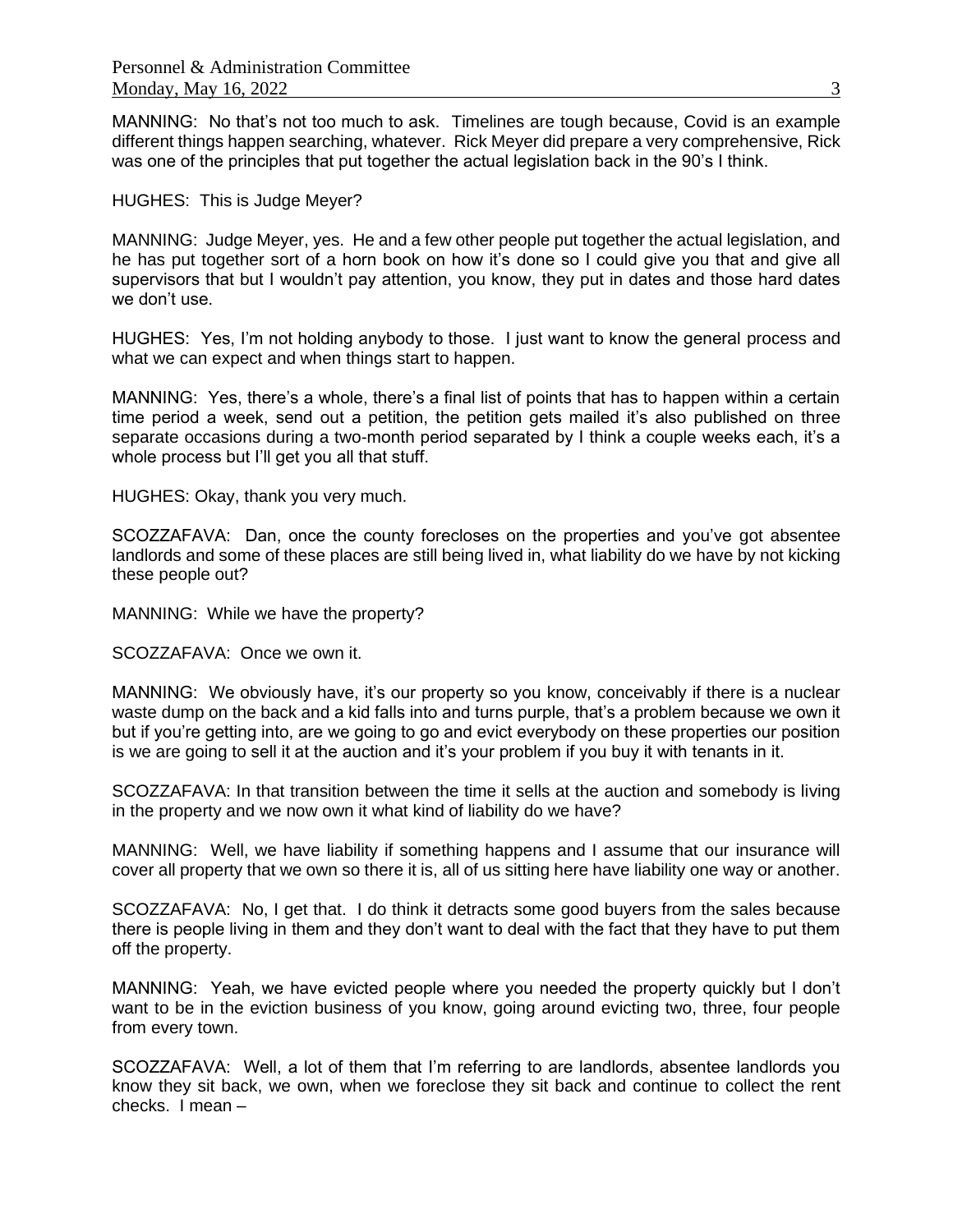MANNING: No that's not too much to ask. Timelines are tough because, Covid is an example different things happen searching, whatever. Rick Meyer did prepare a very comprehensive, Rick was one of the principles that put together the actual legislation back in the 90's I think.

HUGHES: This is Judge Meyer?

MANNING: Judge Meyer, yes. He and a few other people put together the actual legislation, and he has put together sort of a horn book on how it's done so I could give you that and give all supervisors that but I wouldn't pay attention, you know, they put in dates and those hard dates we don't use.

HUGHES: Yes, I'm not holding anybody to those. I just want to know the general process and what we can expect and when things start to happen.

MANNING: Yes, there's a whole, there's a final list of points that has to happen within a certain time period a week, send out a petition, the petition gets mailed it's also published on three separate occasions during a two-month period separated by I think a couple weeks each, it's a whole process but I'll get you all that stuff.

HUGHES: Okay, thank you very much.

SCOZZAFAVA: Dan, once the county forecloses on the properties and you've got absentee landlords and some of these places are still being lived in, what liability do we have by not kicking these people out?

MANNING: While we have the property?

SCOZZAFAVA: Once we own it.

MANNING: We obviously have, it's our property so you know, conceivably if there is a nuclear waste dump on the back and a kid falls into and turns purple, that's a problem because we own it but if you're getting into, are we going to go and evict everybody on these properties our position is we are going to sell it at the auction and it's your problem if you buy it with tenants in it.

SCOZZAFAVA: In that transition between the time it sells at the auction and somebody is living in the property and we now own it what kind of liability do we have?

MANNING: Well, we have liability if something happens and I assume that our insurance will cover all property that we own so there it is, all of us sitting here have liability one way or another.

SCOZZAFAVA: No, I get that. I do think it detracts some good buyers from the sales because there is people living in them and they don't want to deal with the fact that they have to put them off the property.

MANNING: Yeah, we have evicted people where you needed the property quickly but I don't want to be in the eviction business of you know, going around evicting two, three, four people from every town.

SCOZZAFAVA: Well, a lot of them that I'm referring to are landlords, absentee landlords you know they sit back, we own, when we foreclose they sit back and continue to collect the rent checks. I mean –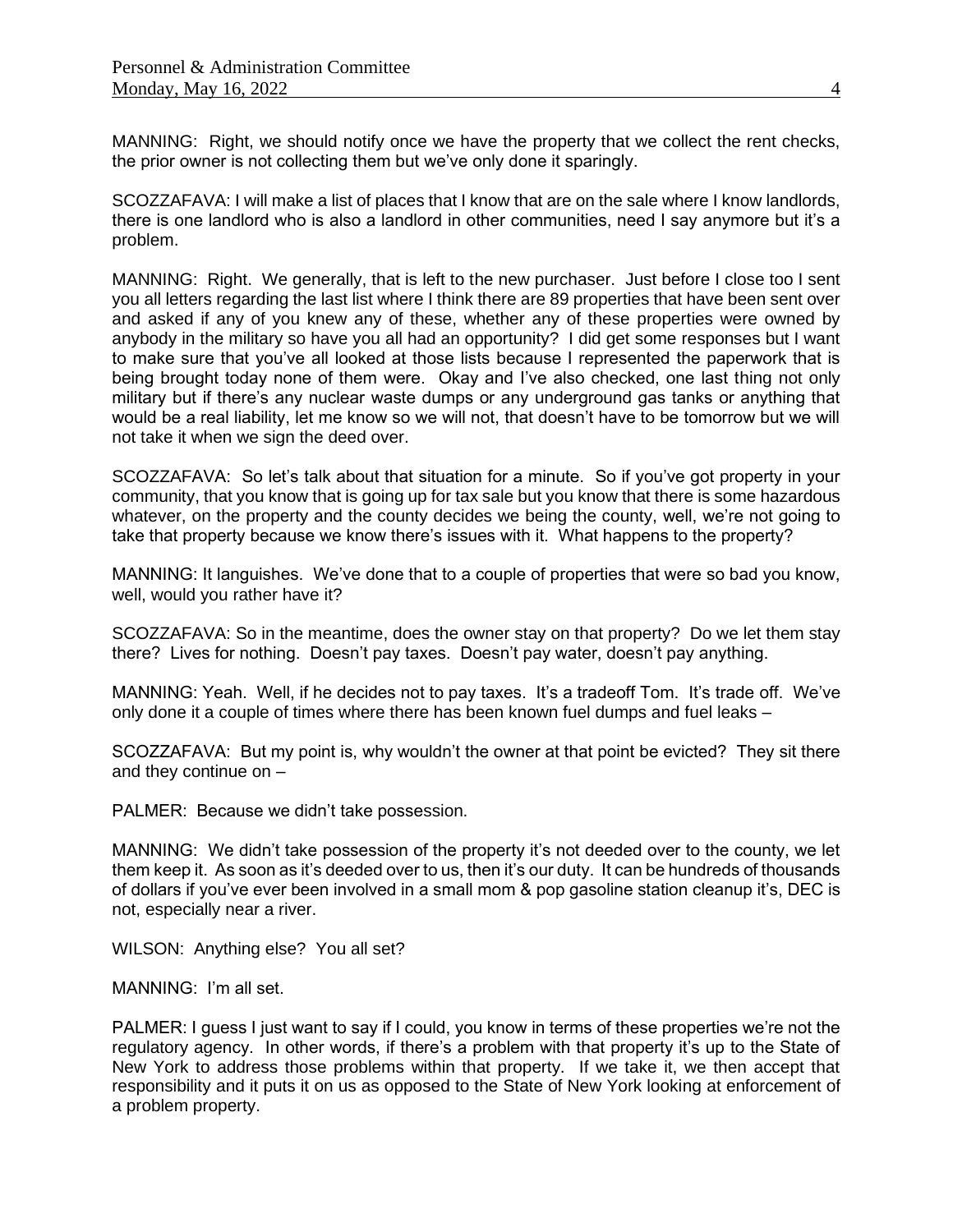MANNING: Right, we should notify once we have the property that we collect the rent checks, the prior owner is not collecting them but we've only done it sparingly.

SCOZZAFAVA: I will make a list of places that I know that are on the sale where I know landlords, there is one landlord who is also a landlord in other communities, need I say anymore but it's a problem.

MANNING: Right. We generally, that is left to the new purchaser. Just before I close too I sent you all letters regarding the last list where I think there are 89 properties that have been sent over and asked if any of you knew any of these, whether any of these properties were owned by anybody in the military so have you all had an opportunity? I did get some responses but I want to make sure that you've all looked at those lists because I represented the paperwork that is being brought today none of them were. Okay and I've also checked, one last thing not only military but if there's any nuclear waste dumps or any underground gas tanks or anything that would be a real liability, let me know so we will not, that doesn't have to be tomorrow but we will not take it when we sign the deed over.

SCOZZAFAVA: So let's talk about that situation for a minute. So if you've got property in your community, that you know that is going up for tax sale but you know that there is some hazardous whatever, on the property and the county decides we being the county, well, we're not going to take that property because we know there's issues with it. What happens to the property?

MANNING: It languishes. We've done that to a couple of properties that were so bad you know, well, would you rather have it?

SCOZZAFAVA: So in the meantime, does the owner stay on that property? Do we let them stay there? Lives for nothing. Doesn't pay taxes. Doesn't pay water, doesn't pay anything.

MANNING: Yeah. Well, if he decides not to pay taxes. It's a tradeoff Tom. It's trade off. We've only done it a couple of times where there has been known fuel dumps and fuel leaks –

SCOZZAFAVA: But my point is, why wouldn't the owner at that point be evicted? They sit there and they continue on –

PALMER: Because we didn't take possession.

MANNING: We didn't take possession of the property it's not deeded over to the county, we let them keep it. As soon as it's deeded over to us, then it's our duty. It can be hundreds of thousands of dollars if you've ever been involved in a small mom & pop gasoline station cleanup it's, DEC is not, especially near a river.

WILSON: Anything else? You all set?

MANNING: I'm all set.

PALMER: I guess I just want to say if I could, you know in terms of these properties we're not the regulatory agency. In other words, if there's a problem with that property it's up to the State of New York to address those problems within that property. If we take it, we then accept that responsibility and it puts it on us as opposed to the State of New York looking at enforcement of a problem property.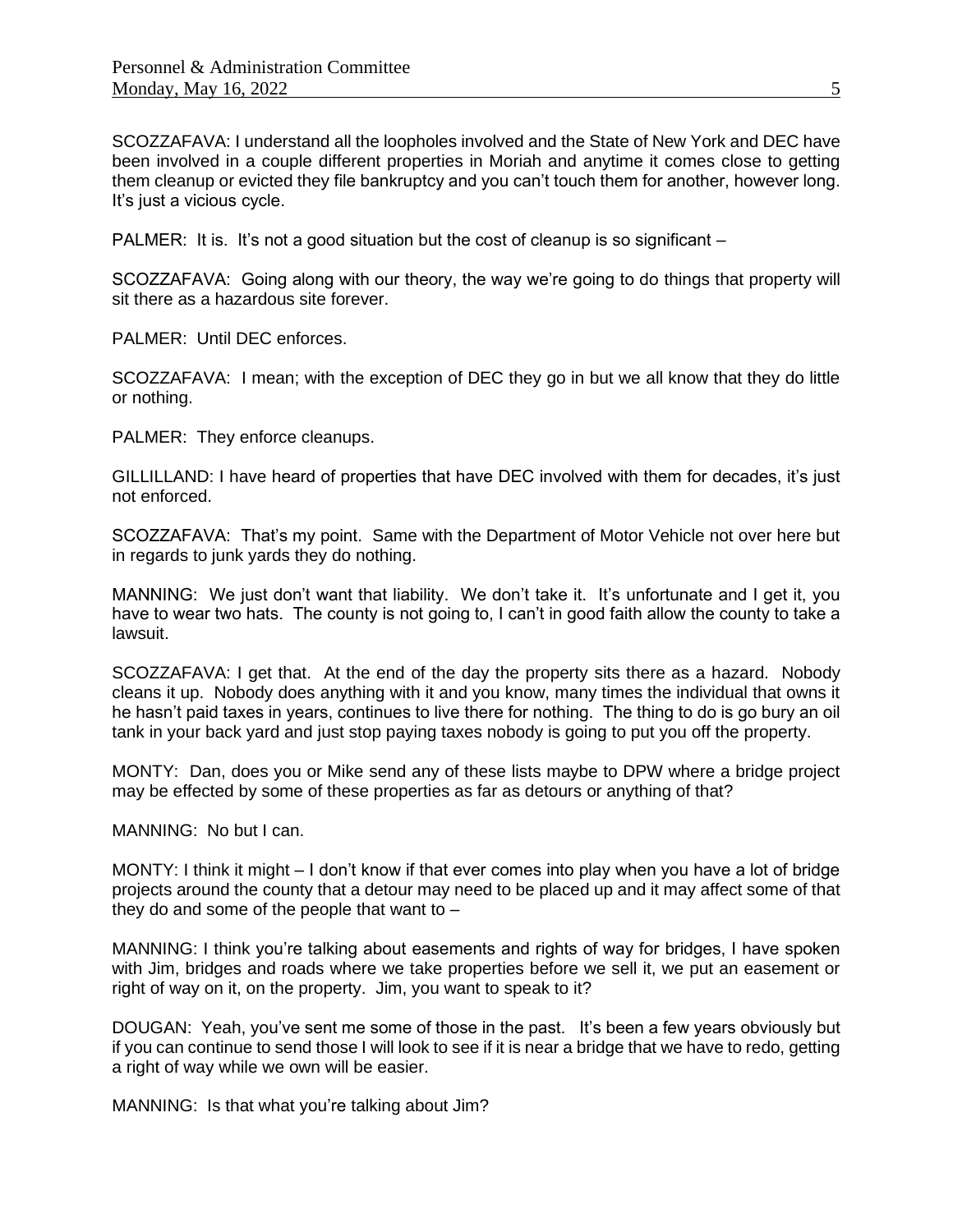SCOZZAFAVA: I understand all the loopholes involved and the State of New York and DEC have been involved in a couple different properties in Moriah and anytime it comes close to getting them cleanup or evicted they file bankruptcy and you can't touch them for another, however long. It's just a vicious cycle.

PALMER: It is. It's not a good situation but the cost of cleanup is so significant –

SCOZZAFAVA: Going along with our theory, the way we're going to do things that property will sit there as a hazardous site forever.

PALMER: Until DEC enforces.

SCOZZAFAVA: I mean; with the exception of DEC they go in but we all know that they do little or nothing.

PALMER: They enforce cleanups.

GILLILLAND: I have heard of properties that have DEC involved with them for decades, it's just not enforced.

SCOZZAFAVA: That's my point. Same with the Department of Motor Vehicle not over here but in regards to junk yards they do nothing.

MANNING: We just don't want that liability. We don't take it. It's unfortunate and I get it, you have to wear two hats. The county is not going to, I can't in good faith allow the county to take a lawsuit.

SCOZZAFAVA: I get that. At the end of the day the property sits there as a hazard. Nobody cleans it up. Nobody does anything with it and you know, many times the individual that owns it he hasn't paid taxes in years, continues to live there for nothing. The thing to do is go bury an oil tank in your back yard and just stop paying taxes nobody is going to put you off the property.

MONTY: Dan, does you or Mike send any of these lists maybe to DPW where a bridge project may be effected by some of these properties as far as detours or anything of that?

MANNING: No but I can.

MONTY: I think it might – I don't know if that ever comes into play when you have a lot of bridge projects around the county that a detour may need to be placed up and it may affect some of that they do and some of the people that want to  $-$ 

MANNING: I think you're talking about easements and rights of way for bridges, I have spoken with Jim, bridges and roads where we take properties before we sell it, we put an easement or right of way on it, on the property. Jim, you want to speak to it?

DOUGAN: Yeah, you've sent me some of those in the past. It's been a few years obviously but if you can continue to send those I will look to see if it is near a bridge that we have to redo, getting a right of way while we own will be easier.

MANNING: Is that what you're talking about Jim?